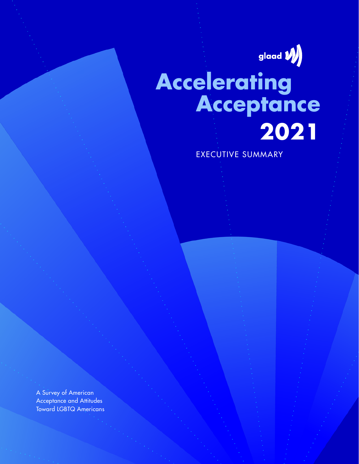

# **Accelerating Acceptance 2021**

EXECUTIVE SUMMARY

A Survey of American Acceptance and Attitudes Toward LGBTQ Americans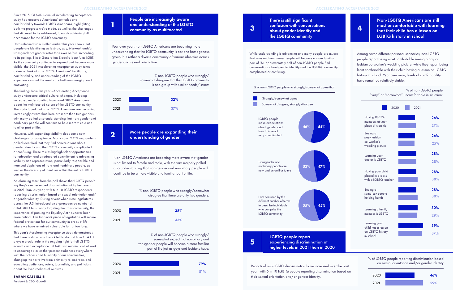Data released from Gallup earlier this year shows that people are identifying as lesbian, gay, bisexual, and/or transgender at greater rates than ever before. According to its polling, 1 in 6 Generation Z adults identify as LGBT. As the community continues to expand and become more visible, the 2021 Accelerating Acceptance study takes a deeper look at non-LGBTQ Americans' familiarity, comfortability, and understanding of the LGBTQ experience -- and the results are both encouraging and motivating.

The findings from this year's Accelerating Acceptance study underscore critical cultural changes, including increased understanding from non-LGBTQ Americans about the multifaceted nature of the LGBTQ community. The study found that non-LGBTQ Amercians are becoming increasingly aware that there are more than two genders, with many polled also understanding that transgender and nonbinary people will continue to be a more visible and familiar part of life.

However, with expanding visibility does come new challenges for acceptance. Many non-LGBTQ respondents polled identified that they find conversations about gender identity and the LGBTQ community complicated or confusing. These results highlight clear opportunities for education and a redoubled commitment to advancing visibility and representation, particularly responsible and nuanced depictions of trans and nonbinary people, as well as the diversity of identities within the entire LGBTQ community.

## **2** More people are expanding their understanding of gender

An alarming result from the poll shows that LGBTQ people say they've experienced discrimination at higher levels in 2021 than last year, with 6 in 10 LGBTQ respondents reporting discrimination based on sexual orientation and/ or gender identity. During a year when state legislatures across the U.S. introduced an unprecedented number of anti-LGBTQ bills, many targeting the trans community, the importance of passing the Equality Act has never been more critical. This landmark piece of legislation will secure federal protections for our community in areas of life where we have remained vulnerable for far too long.

This year's Accelerating Acceptance study demonstrates that there is still so much work left to do and how GLAAD plays a crucial role in the ongoing fight for full LGBTQ equality and acceptance. GLAAD will remain hard at work to encourage stories that present audiences everywhere with the richness and humanity of our communities, changing the narrative from animosity to embrace, and educating audiences, voters, journalists, and politicians about the lived realities of our lives.

**SARAH KATE ELLIS**

President & CEO, GLAAD

Year over year, non-LGBTQ Americans are becoming more understanding that the LGBTQ community is not one homogenous group, but rather a diverse community of various identities across gender and sexual orientation.

**1**

## People are increasingly aware and understanding of the LGBTQ community as multifaceted

Non-LGBTQ Americans are becoming more aware that gender is not limited to female and male, with the vast majority polled also understanding that transgender and nonbinary people will continue to be a more visible and familiar part of life.

Among seven different personal scenarios, non-LGBTQ people report being most comfortable seeing a gay or lesbian co-worker's wedding picture, while they report being least comfortable with their child having a lesson on LGBTQ history in school. Year over year, levels of comfortability have remained relatively stable.

**5**

experiencing discrimination at higher levels in 2021 than in 2020 Non-LGBTQ Americans are still most uncomfortable with learning that their child has a lesson on LGBTQ history in school

## While understanding is advancing and many people are aware that trans and nonbinary people will become a more familiar part of life, approximately half of non-LGBTQ people find conversations about gender identity and the LGBTQ community complicated or confusing. **3 4** about gender identity and There is still significant confusion with conversations the LGBTQ community LGBTQ people report % of non-LGBTQ people who strongly/somewhat agree that: LGBTQ people make expectations about gender and how to interact very complicated Transgender and nonbinary people are new and unfamiliar to me I am confused by the different number of terms to describe individuals who comprise the LGBTQ community Strongly/somewhat agree Somewhat disagree, strongly disagree 54% 47% 45% 46% 53% 55%

Reports of anti-LGBTQ discrimination have increased over the past year, with 6 in 10 LGBTQ people reporting discrimination based on their sexual orientation and/or gender identity.



% of LGBTQ people reporting discrimination based on sexual orientation and/or gender identity



% non-LGBTQ people who strongly/somewhat disagree that there are only two genders:

% of non-LGBTQ people who strongly/ somewhat expect that nonbinary and transgender people will become a more familiar part of life just as gays and lesbians have: